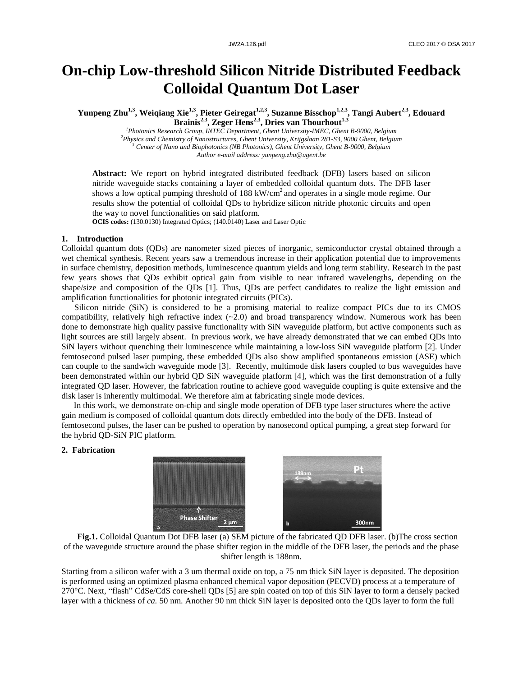# **On-chip Low-threshold Silicon Nitride Distributed Feedback Colloidal Quantum Dot Laser**

**Yunpeng Zhu1,3, Weiqiang Xie1,3, Pieter Geiregat1,2,3, Suzanne Bisschop1,2,3, Tangi Aubert2,3, Edouard Brainis2,3, Zeger Hens2,3, Dries van Thourhout1,3**

*Photonics Research Group, INTEC Department, Ghent University-IMEC, Ghent B-9000, Belgium Physics and Chemistry of Nanostructures, Ghent University, Krijgslaan 281-S3, 9000 Ghent, Belgium Center of Nano and Biophotonics (NB Photonics), Ghent University, Ghent B-9000, Belgium Author e-mail address: yunpeng.zhu@ugent.be*

**Abstract:** We report on hybrid integrated distributed feedback (DFB) lasers based on silicon nitride waveguide stacks containing a layer of embedded colloidal quantum dots. The DFB laser shows a low optical pumping threshold of 188 kW/cm<sup>2</sup> and operates in a single mode regime. Our results show the potential of colloidal QDs to hybridize silicon nitride photonic circuits and open the way to novel functionalities on said platform.

**OCIS codes:** (130.0130) Integrated Optics; (140.0140) Laser and Laser Optic

### **1. Introduction**

Colloidal quantum dots (QDs) are nanometer sized pieces of inorganic, semiconductor crystal obtained through a wet chemical synthesis. Recent years saw a tremendous increase in their application potential due to improvements in surface chemistry, deposition methods, luminescence quantum yields and long term stability. Research in the past few years shows that QDs exhibit optical gain from visible to near infrared wavelengths, depending on the shape/size and composition of the QDs [1]. Thus, QDs are perfect candidates to realize the light emission and amplification functionalities for photonic integrated circuits (PICs).

Silicon nitride (SiN) is considered to be a promising material to realize compact PICs due to its CMOS compatibility, relatively high refractive index  $(-2.0)$  and broad transparency window. Numerous work has been done to demonstrate high quality passive functionality with SiN waveguide platform, but active components such as light sources are still largely absent. In previous work, we have already demonstrated that we can embed QDs into SiN layers without quenching their luminescence while maintaining a low-loss SiN waveguide platform [2]. Under femtosecond pulsed laser pumping, these embedded QDs also show amplified spontaneous emission (ASE) which can couple to the sandwich waveguide mode [3]. Recently, multimode disk lasers coupled to bus waveguides have been demonstrated within our hybrid QD SiN waveguide platform [4], which was the first demonstration of a fully integrated QD laser. However, the fabrication routine to achieve good waveguide coupling is quite extensive and the disk laser is inherently multimodal. We therefore aim at fabricating single mode devices.

In this work, we demonstrate on-chip and single mode operation of DFB type laser structures where the active gain medium is composed of colloidal quantum dots directly embedded into the body of the DFB. Instead of femtosecond pulses, the laser can be pushed to operation by nanosecond optical pumping, a great step forward for the hybrid QD-SiN PIC platform.

## **2. Fabrication**





Starting from a silicon wafer with a 3 um thermal oxide on top, a 75 nm thick SiN layer is deposited. The deposition is performed using an optimized plasma enhanced chemical vapor deposition (PECVD) process at a temperature of 270°C. Next, "flash" CdSe/CdS core-shell QDs [5] are spin coated on top of this SiN layer to form a densely packed layer with a thickness of *ca.* 50 nm. Another 90 nm thick SiN layer is deposited onto the QDs layer to form the full